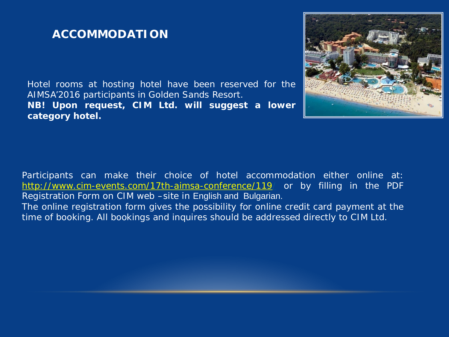## **ACCOMMODATION**

Hotel rooms at hosting hotel have been reserved for the AIMSA'2016 participants in Golden Sands Resort. **NB! Upon request, CIM Ltd. will suggest a lower category hotel.**



Participants can make their choice of hotel accommodation either online at: http://www.cim-events.com/17th-aimsa-conference/119/ or by filling in the PDF Registration Form on CIM web –site in English and Bulgarian. The online registration form gives the possibility for online credit card payment at the time of booking. All bookings and inquires should be addressed directly to CIM Ltd.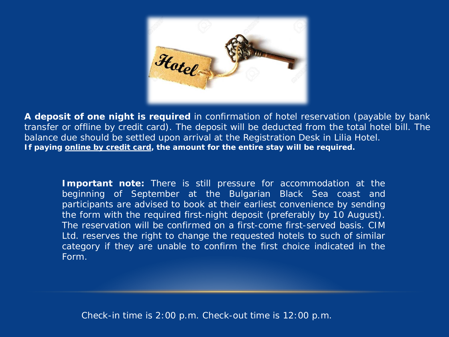

**A deposit of one night is required** in confirmation of hotel reservation (payable by bank transfer or offline by credit card). The deposit will be deducted from the total hotel bill. The balance due should be settled upon arrival at the Registration Desk in Lilia Hotel. **If paying online by credit card, the amount for the entire stay will be required.** 

**Important note:** There is still pressure for accommodation at the beginning of September at the Bulgarian Black Sea coast and participants are advised to book at their earliest convenience by sending the form with the required first-night deposit (preferably by 10 August). The reservation will be confirmed on a first-come first-served basis. CIM Ltd. reserves the right to change the requested hotels to such of similar category if they are unable to confirm the first choice indicated in the Form.

*Check-in time is 2:00 p.m. Check-out time is 12:00 p.m.*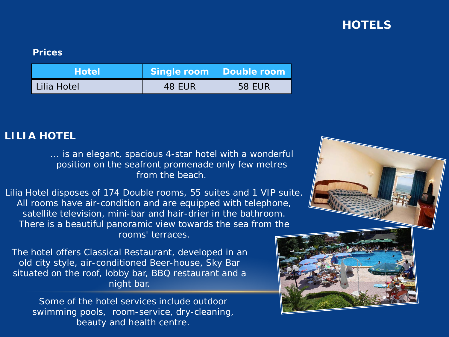# **HOTELS**

#### **Prices**

| <b>Hotel</b> | Single room Double room |               |
|--------------|-------------------------|---------------|
| Lilia Hotel  | 48 EUR                  | <b>58 EUR</b> |

### **LILIA HOTEL**

... is an elegant, spacious 4-star hotel with a wonderful position on the seafront promenade only few metres from the beach.

Lilia Hotel disposes of 174 Double rooms, 55 suites and 1 VIP suite. All rooms have air-condition and are equipped with telephone, satellite television, mini-bar and hair-drier in the bathroom. There is a beautiful panoramic view towards the sea from the rooms' terraces.

The hotel offers Classical Restaurant, developed in an old city style, air-conditioned Beer-house, Sky Bar situated on the roof, lobby bar, BBQ restaurant and a night bar.

Some of the hotel services include outdoor swimming pools, room-service, dry-cleaning, beauty and health centre.